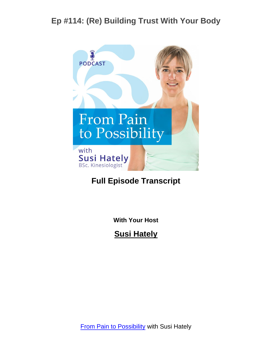

#### **Full Episode Transcript**

**With Your Host**

**Susi Hately**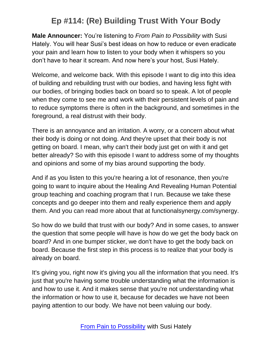**Male Announcer:** You're listening to *From Pain to Possibility* with Susi Hately. You will hear Susi's best ideas on how to reduce or even eradicate your pain and learn how to listen to your body when it whispers so you don't have to hear it scream. And now here's your host, Susi Hately.

Welcome, and welcome back. With this episode I want to dig into this idea of building and rebuilding trust with our bodies, and having less fight with our bodies, of bringing bodies back on board so to speak. A lot of people when they come to see me and work with their persistent levels of pain and to reduce symptoms there is often in the background, and sometimes in the foreground, a real distrust with their body.

There is an annoyance and an irritation. A worry, or a concern about what their body is doing or not doing. And they're upset that their body is not getting on board. I mean, why can't their body just get on with it and get better already? So with this episode I want to address some of my thoughts and opinions and some of my bias around supporting the body.

And if as you listen to this you're hearing a lot of resonance, then you're going to want to inquire about the Healing And Revealing Human Potential group teaching and coaching program that I run. Because we take these concepts and go deeper into them and really experience them and apply them. And you can read more about that at functionalsynergy.com/synergy.

So how do we build that trust with our body? And in some cases, to answer the question that some people will have is how do we get the body back on board? And in one bumper sticker, we don't have to get the body back on board. Because the first step in this process is to realize that your body is already on board.

It's giving you, right now it's giving you all the information that you need. It's just that you're having some trouble understanding what the information is and how to use it. And it makes sense that you're not understanding what the information or how to use it, because for decades we have not been paying attention to our body. We have not been valuing our body.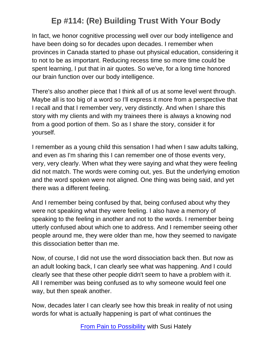In fact, we honor cognitive processing well over our body intelligence and have been doing so for decades upon decades. I remember when provinces in Canada started to phase out physical education, considering it to not to be as important. Reducing recess time so more time could be spent learning, I put that in air quotes. So we've, for a long time honored our brain function over our body intelligence.

There's also another piece that I think all of us at some level went through. Maybe all is too big of a word so I'll express it more from a perspective that I recall and that I remember very, very distinctly. And when I share this story with my clients and with my trainees there is always a knowing nod from a good portion of them. So as I share the story, consider it for yourself.

I remember as a young child this sensation I had when I saw adults talking, and even as I'm sharing this I can remember one of those events very, very, very clearly. When what they were saying and what they were feeling did not match. The words were coming out, yes. But the underlying emotion and the word spoken were not aligned. One thing was being said, and yet there was a different feeling.

And I remember being confused by that, being confused about why they were not speaking what they were feeling. I also have a memory of speaking to the feeling in another and not to the words. I remember being utterly confused about which one to address. And I remember seeing other people around me, they were older than me, how they seemed to navigate this dissociation better than me.

Now, of course, I did not use the word dissociation back then. But now as an adult looking back, I can clearly see what was happening. And I could clearly see that these other people didn't seem to have a problem with it. All I remember was being confused as to why someone would feel one way, but then speak another.

Now, decades later I can clearly see how this break in reality of not using words for what is actually happening is part of what continues the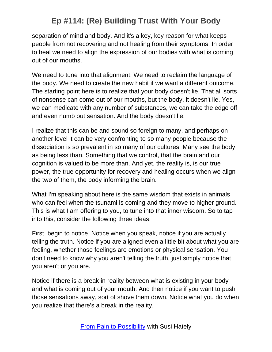separation of mind and body. And it's a key, key reason for what keeps people from not recovering and not healing from their symptoms. In order to heal we need to align the expression of our bodies with what is coming out of our mouths.

We need to tune into that alignment. We need to reclaim the language of the body. We need to create the new habit if we want a different outcome. The starting point here is to realize that your body doesn't lie. That all sorts of nonsense can come out of our mouths, but the body, it doesn't lie. Yes, we can medicate with any number of substances, we can take the edge off and even numb out sensation. And the body doesn't lie.

I realize that this can be and sound so foreign to many, and perhaps on another level it can be very confronting to so many people because the dissociation is so prevalent in so many of our cultures. Many see the body as being less than. Something that we control, that the brain and our cognition is valued to be more than. And yet, the reality is, is our true power, the true opportunity for recovery and healing occurs when we align the two of them, the body informing the brain.

What I'm speaking about here is the same wisdom that exists in animals who can feel when the tsunami is coming and they move to higher ground. This is what I am offering to you, to tune into that inner wisdom. So to tap into this, consider the following three ideas.

First, begin to notice. Notice when you speak, notice if you are actually telling the truth. Notice if you are aligned even a little bit about what you are feeling, whether those feelings are emotions or physical sensation. You don't need to know why you aren't telling the truth, just simply notice that you aren't or you are.

Notice if there is a break in reality between what is existing in your body and what is coming out of your mouth. And then notice if you want to push those sensations away, sort of shove them down. Notice what you do when you realize that there's a break in the reality.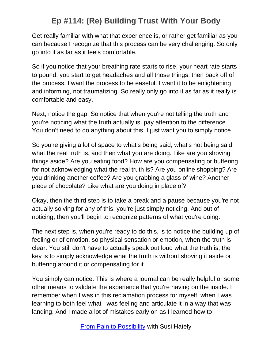Get really familiar with what that experience is, or rather get familiar as you can because I recognize that this process can be very challenging. So only go into it as far as it feels comfortable.

So if you notice that your breathing rate starts to rise, your heart rate starts to pound, you start to get headaches and all those things, then back off of the process. I want the process to be easeful. I want it to be enlightening and informing, not traumatizing. So really only go into it as far as it really is comfortable and easy.

Next, notice the gap. So notice that when you're not telling the truth and you're noticing what the truth actually is, pay attention to the difference. You don't need to do anything about this, I just want you to simply notice.

So you're giving a lot of space to what's being said, what's not being said, what the real truth is, and then what you are doing. Like are you shoving things aside? Are you eating food? How are you compensating or buffering for not acknowledging what the real truth is? Are you online shopping? Are you drinking another coffee? Are you grabbing a glass of wine? Another piece of chocolate? Like what are you doing in place of?

Okay, then the third step is to take a break and a pause because you're not actually solving for any of this, you're just simply noticing. And out of noticing, then you'll begin to recognize patterns of what you're doing.

The next step is, when you're ready to do this, is to notice the building up of feeling or of emotion, so physical sensation or emotion, when the truth is clear. You still don't have to actually speak out loud what the truth is, the key is to simply acknowledge what the truth is without shoving it aside or buffering around it or compensating for it.

You simply can notice. This is where a journal can be really helpful or some other means to validate the experience that you're having on the inside. I remember when I was in this reclamation process for myself, when I was learning to both feel what I was feeling and articulate it in a way that was landing. And I made a lot of mistakes early on as I learned how to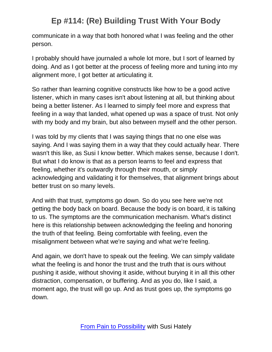communicate in a way that both honored what I was feeling and the other person.

I probably should have journaled a whole lot more, but I sort of learned by doing. And as I got better at the process of feeling more and tuning into my alignment more, I got better at articulating it.

So rather than learning cognitive constructs like how to be a good active listener, which in many cases isn't about listening at all, but thinking about being a better listener. As I learned to simply feel more and express that feeling in a way that landed, what opened up was a space of trust. Not only with my body and my brain, but also between myself and the other person.

I was told by my clients that I was saying things that no one else was saying. And I was saying them in a way that they could actually hear. There wasn't this like, as Susi I know better. Which makes sense, because I don't. But what I do know is that as a person learns to feel and express that feeling, whether it's outwardly through their mouth, or simply acknowledging and validating it for themselves, that alignment brings about better trust on so many levels.

And with that trust, symptoms go down. So do you see here we're not getting the body back on board. Because the body is on board, it is talking to us. The symptoms are the communication mechanism. What's distinct here is this relationship between acknowledging the feeling and honoring the truth of that feeling. Being comfortable with feeling, even the misalignment between what we're saying and what we're feeling.

And again, we don't have to speak out the feeling. We can simply validate what the feeling is and honor the trust and the truth that is ours without pushing it aside, without shoving it aside, without burying it in all this other distraction, compensation, or buffering. And as you do, like I said, a moment ago, the trust will go up. And as trust goes up, the symptoms go down.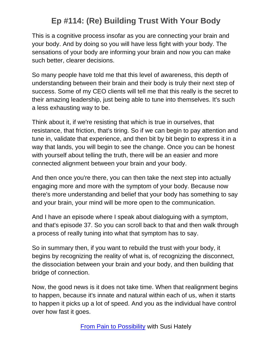This is a cognitive process insofar as you are connecting your brain and your body. And by doing so you will have less fight with your body. The sensations of your body are informing your brain and now you can make such better, clearer decisions.

So many people have told me that this level of awareness, this depth of understanding between their brain and their body is truly their next step of success. Some of my CEO clients will tell me that this really is the secret to their amazing leadership, just being able to tune into themselves. It's such a less exhausting way to be.

Think about it, if we're resisting that which is true in ourselves, that resistance, that friction, that's tiring. So if we can begin to pay attention and tune in, validate that experience, and then bit by bit begin to express it in a way that lands, you will begin to see the change. Once you can be honest with yourself about telling the truth, there will be an easier and more connected alignment between your brain and your body.

And then once you're there, you can then take the next step into actually engaging more and more with the symptom of your body. Because now there's more understanding and belief that your body has something to say and your brain, your mind will be more open to the communication.

And I have an episode where I speak about dialoguing with a symptom, and that's episode 37. So you can scroll back to that and then walk through a process of really tuning into what that symptom has to say.

So in summary then, if you want to rebuild the trust with your body, it begins by recognizing the reality of what is, of recognizing the disconnect, the dissociation between your brain and your body, and then building that bridge of connection.

Now, the good news is it does not take time. When that realignment begins to happen, because it's innate and natural within each of us, when it starts to happen it picks up a lot of speed. And you as the individual have control over how fast it goes.